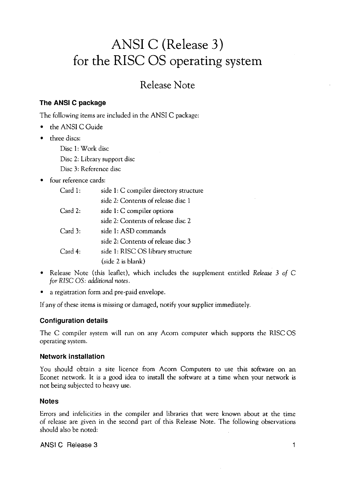# **ANSI C (Release 3) for the RISC OS operating system**

## Release Note

## **The ANSI C package**

The following items are included in the ANSI C package:

- the ANSI C Guide
- three discs:

Disc 1: Work disc

Disc 2: Library support disc

Disc 3: Reference disc

## • four reference cards:

| Card 1: | side 1: C compiler directory structure |
|---------|----------------------------------------|
|         | side 2: Contents of release disc 1     |
| Card 2: | side 1: C compiler options             |
|         | side 2: Contents of release disc 2     |
| Card 3: | side 1: ASD commands                   |
|         | side 2: Contents of release disc 3     |
| Card 4: | side 1: RISC OS library structure      |
|         | (side 2 is blank)                      |

- Release Note (this leaflet), which includes the supplement entitled *Release* 3 *of* C *for* RISC OS: *additional notes.*
- a registration form and pre-paid envelope.

If any of these items is missing or damaged, notify your supplier immediately.

#### **Configuration details**

The C compiler system will run on any Acorn computer which supports the RISC OS operating system.

#### **Network installation**

You should obtain a site licence from Acorn Computers to use this software on an Econet network. It is a good idea to install the software at a time when your network is not being subjected to heavy use.

#### **Notes**

Errors and infelicities in the compiler and libraries that were known about at the time of release are given in the second part of this Release Note. The following observations should also be noted:

ANSI C Release 3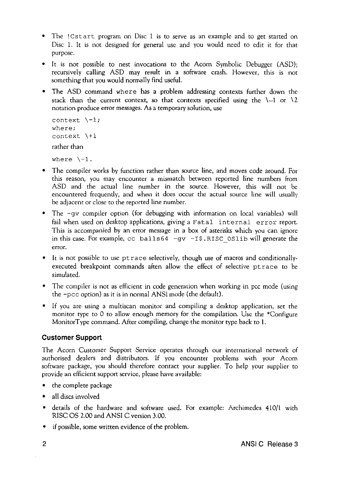- The ! Cstart program on Disc 1 is to serve as an example and to get started on Disc 1. It is not designed for general use and you would need to edit it for that purpose.
- It is not possible to nest invocations to the Acorn Symbolic Debugger (ASD); recursively calling ASD may result in a software crash. However, this is not something that you would normally find useful.
- The ASD command where has a problem addressing contexts further down the stack than the current context, so that contexts specified using the  $\{-1\}$  or  $\setminus 2$ notation produce error messages. As a temporary solution, use

```
context \{-1;where; 
context \+1 
rather than 
where \{-1\}.
```
- The compiler works by function rather than source line, and moves code around. For this reason, you may encounter a mismatch between reported line numbers from ASD and the actual line number in the source. However, this will not be encountered frequently, and when it does occur the actual source line will usually be adjacent or close to the reported line number.
- The -gy compiler option (for debugging with information on local variables) will fail when used on desktop applications, giving a Fatal internal error report. This is accompanied by an error message in a box of asterisks which you can ignore in this case. For example, cc. balls64  $-\alpha v$  -IS, RISC, OSlib will generate the error.
- It is not possible to use ptrace selectively, though use of macros and conditionallyexecuted breakpoint commands aften allow the effect of selective ptrace to be simulated.
- The compiler is not as efficient in code generation when working in pcc mode (using the -pee option) as it is in normal ANSI mode (the default).
- If you are using a multiscan monitor and compiling a desktop application, set the monitor rype to 0 to allow enough memory for the compilation. Use the \*Configure Monitor Type command. After compiling, change the monitor type back to 1.

## **Customer Support**

The Acorn Customer Support Service operates through our international network of authorised dealers and distributors. If you encounter problems with your Acorn software package, you should therefore contact your supplier. To help your supplier to provide an efficient support service, please have available:

- the complete package
- all discs involved
- details of the hardware and software used. For example: Archimedes 410/1 with RISC OS 2.00 and ANSI C version 3.00.
- if possible, some written evidence of the problem.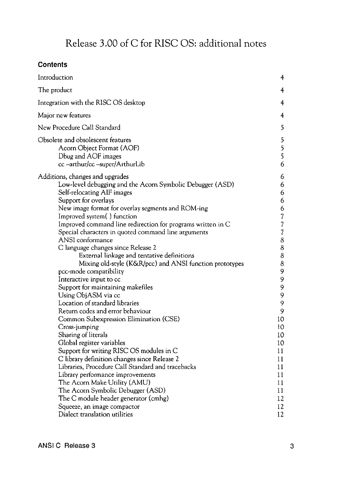## Release 3.00 of C for RISC OS: additional notes

## **Contents**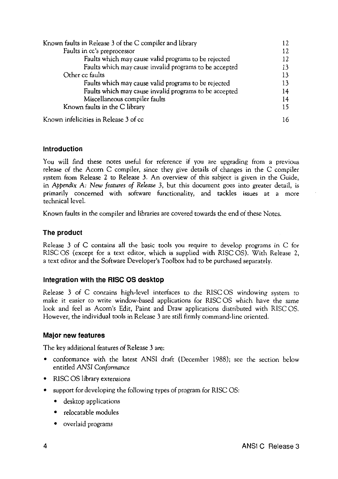| Known faults in Release 3 of the C compiler and library | 12 |
|---------------------------------------------------------|----|
| Faults in cc's preprocessor                             |    |
| Faults which may cause valid programs to be rejected    | 12 |
| Faults which may cause invalid programs to be accepted  | 13 |
| Other cc faults                                         |    |
| Faults which may cause valid programs to be rejected    | 13 |
| Faults which may cause invalid programs to be accepted  | 14 |
| Miscellaneous compiler faults                           | 14 |
| Known faults in the C library                           | 15 |
| Known infelicities in Release 3 of cc                   |    |

#### **Introduction**

You will find these notes useful for reference if you are upgrading from a previous release of the Acorn C compiler, since they give details of changes in the C compiler system from Release 2 to Release 3. An overview of this subject is given in the Guide, in *Appendix* A: *New features of Release* 3, but this document goes into greater detail, is primarily concerned with software functionality, and tackles issues at a more technical level.

Known faults in the compiler and libraries are covered towards the end of these Notes.

#### **The product**

Release 3 of C contains all the basic tools you require to develop programs in C for RISC OS (except for a text editor, which is supplied with RISC OS). With Release 2, a text editor and the Software Developer's Toolbox had to be purchased separately.

#### **Integration with the RISC OS desktop**

Release 3 of C contains high-level interfaces to the RISC OS windowing system to make it easier to write window-based applications for RISC OS which have the same look and feel as Acorn's Edit, Paint and Draw applications distributed with RISC OS. However, the individual tools in Release 3 are still firmly command-line oriented.

#### **Major new features**

The key additional features of Release 3 are:

- conformance with the latest ANSI draft (December 1988); see the section below entitled *ANSI Conformance*
- RISC OS library extensions
- support for developing the following types of program for RISC OS:
	- desktop applications
	- relocatable modules
	- overlaid programs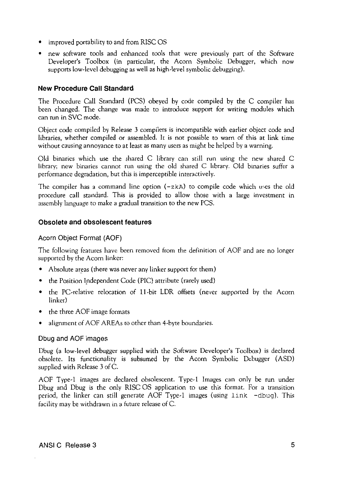- improved portability to and from RISC OS
- new software tools and enhanced tools that were previously part of the Software Developer's Toolbox (in particular, the Acorn Symbolic Debugger, which now supports low-level debugging as well as high-level symbolic debugging).

#### **New Procedure Call Standard**

The Procedure Call Standard (PCS) obeyed by code compiled by the C compiler has been changed. The change was made to introduce support for writing modules which can run in SVC mode.

Object code compiled by Release 3 compilers is incompatible with earlier object code and libraries, whether compiled or assembled. It is not possible to warn of this at link time without causing annoyance to at least as many users as might be helped by a warning.

Old binaries which use the shared C library can still run using the new shared C library; new binaries cannot run using the old shared C library. Old binaries suffer a performance degradation, but this is imperceptible interactively.

The compiler has a command line option  $(-z<sub>k</sub>A)$  to compile code which uses the old procedure call standard. This is provided to allow those with a large investment in assembly language to make a gradual transition to the new PCS.

#### **Obsolete and obsolescent features**

#### Acorn Object Format (AOF)

The following features have been removed from the definition of AOF and are no longer supported by the Acorn linker:

- Absolute areas (there was never any linker support for them)
- the Position Independent Code (PIC) attribute (rarely used)
- the PC-relative relocation of 11-bit LOR offsets (never supported by the Acorn linker)
- the three AOF image formats
- alignment of AOF AREAs to other than 4-byte boundaries.

#### Dbug and AOF images

Dbug (a low-level debugger supplied with the Software Developer's Toolbox) is declared obsolete. Its functionality is subsumed by the Acorn Symbolic Debugger (ASD) supplied with Release 3 of C.

AOF Type-1 images are declared obsolescent. Type-1 Images can only be run under Dbug and Dbug is the only RISC OS application to use this format. For a transition period, the linker can still generate AOF Type-1 images (using link -dbug). This facility may be withdrawn in a future release of C.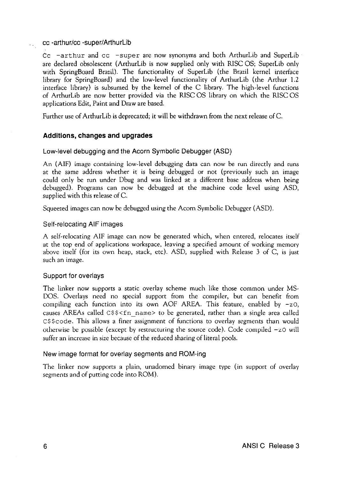#### cc -arthur/cc -super/Arthurlib

ku l

Cc  $-$ arthur and cc  $-$ super are now synonyms and both ArthurLib and SuperLib are declared obsolescent (ArthurLib is now supplied only with RISC OS; SuperLib only with SpringBoard Brazil). The functionality of SuperLib (the Brazil kernel interface library for SpringBoard) and the low-level functionality of ArthurLib (the Arthur 1.2 interface library) is subsumed by the kernel of the C library. The high-level functions of ArthurLib are now better provided via the RISC OS library on which the RISC OS applications Edit, Paint and Draw are based.

Further use of ArthurLib is deprecated; it will be withdrawn from the next release of C.

#### **Additions, changes and upgrades**

#### Low-level debugging and the Acorn Symbolic Debugger (ASD)

An (AIF) image containing low-level debugging data can now be run directly and runs at the same address whether it is being debugged or not (previously such an image could only be run under Dbug and was linked at a different base address when being debugged). Programs can now be debugged at the machine code level using ASD, supplied with this release of C.

Squeezed images can now be debugged using the Acorn Symbolic Debugger (ASD).

#### Self-relocating AIF images

A self-relocating AIF image can now be generated which, when entered, relocates itself at the top end of applications workspace, leaving a specified amount of working memory above itself (for its own heap, stack, etc). ASD, supplied with Release 3 of C, is just such an image.

#### Support for overlays

The linker now supports a static overlay scheme much like those common under MS-DOS. Overlays need no special support from the compiler, but can benefit from compiling each function into its own AOF AREA. This feature, enabled by  $-z_0$ , causes AREAs called  $C$ \$\$<fn name> to be generated, rather than a single area called C\$ \$code. This allows a finer assignment of functions to overlay segments than would otherwise be possible (except by restructuring the source code). Code compiled  $-z_0$  will suffer an increase in size because of the reduced sharing of literal pools.

#### New image format for overlay segments and ROM-ing

The linker now supports a plain, unadorned binary image type (in support of overlay segments and of putting code into ROM).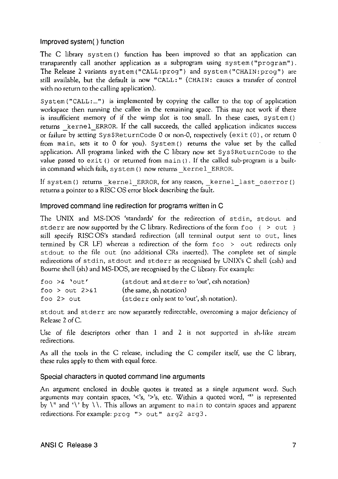#### Improved system( ) function

The C library system () function has been improved so that an application can transparently call another application as a subprogram using system ("program"). The Release 2 variants system("CALL:prog") and system("CHAIN:prog") are still available, but the default is now "CALL:" (CHAIN: causes a transfer of control with no return to the calling application).

System ("CALL:...") is implemented by copying the caller to the top of application workspace then running the callee in the remaining space. This may not work if there is insufficient memory of if the wimp slot is too small. In these cases, system() returns \_kernel\_ ERROR. If the call succeeds, the called application indicates success or failure by setting Sys\$ReturnCode 0 or non-0, respectively (exit (0), or return 0 from main, sets it to 0 for you). System () returns the value set by the called application. All programs linked with the C library now set Sys\$ReturnCode to the value passed to exit () or returned from main (). If the called sub-program is a builtin command which fails, system () now returns\_ kernel\_ ERROR.

If system () returns kernel ERROR, for any reason, kernel last oserror () returns a pointer to a RISC OS error block describing the fault.

#### Improved command line redirection for programs written in C

The UNIX and MS-DOS 'standards' for the redirection of stdin, stdout and stderr are now supported by the C library. Redirections of the form  $f \circ \varphi$  { >  $\varphi$  out } still specify RISC OS's standard redirection (all terminal output sent to out, lines termined by CR LF) whereas a redirection of the form foo > out redirects only stdout to the file out (no additional CRs inserted). The complete set of simple redirections of stdin, stdout and stderr as recognised by UNIX's C shell (csh) and Bourne shell (sh) and MS-DOS, are recognised by the C library. For example:

| foo $>$ & 'out'    | (stdout and stderr to 'out', csh notation) |
|--------------------|--------------------------------------------|
| foo $>$ out $2>61$ | (the same, sh notation)                    |
| foo $2$ out        | (stderr only sent to 'out', sh notation).  |

stdout and stderr are now separately redirectable, overcoming a major deficiency of Release 2 of C.

Use of file descriptors other than 1 and 2 is not supported in sh-like stream redirections.

As all the tools in the C release, including the C compiler itself, use the C library, these rules apply to them with equal force.

#### Special characters in quoted command line arguments

An argument enclosed in double quotes is treated as a single argument word. Such arguments may contain spaces, '<'s, '>'s, etc. Within a quoted word, "" is represented by  $\forall$  and  $\forall$  by  $\forall$ . This allows an argument to main to contain spaces and apparent redirections. For example: prog "> out" arg2 arg3.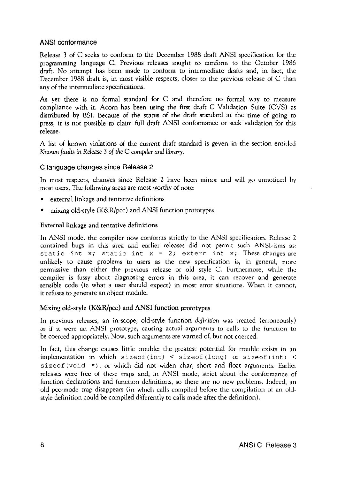#### ANSI conformance

Release 3 of C seeks to conform to the December 1988 draft ANSI specification for the programming language C. Previous releases sought to conform to the October 1986 draft. No attempt has been made to conform to intermediate drafts and, in fact, the December 1988 draft is, in most visible respects, closer to the previous release of C than any of the intermediate specifications.

As yet there is no formal standard for C and therefore no formal way to measure compliance with it. Acorn has been using the first draft C Validation Suite (CVS) as distributed by BSI. Because of the status of the draft standard at the time of going to press, it is not possible to claim full draft ANSI conformance or seek validation for this release.

A list of known violations of the current draft standard is geven in the section entitled *Known faults in Release* 3 *of the* C *compiler and library.* 

#### C language changes since Release 2

In most respects, changes since Release 2 have been minor and will go unnoticed by most users. The following areas are most worthy of note:

- external linkage and tentative definitions
- mixing old-style (K&R/pcc) and ANSI function prototypes.

#### External linkage and tentative definitions

In ANSI mode, the compiler now conforms strictly to the ANSI specification. Release 2 contained bugs in this area and earlier releases did not permit such ANSI-isms as: static int x; static int  $x = 2$ ; extern int x;. These changes are unlikely to cause problems to users as the new specification is, in general, more permissive than either the previous release or old style C. Furthermore, while the compiler is fussy about diagnosing errors in this area, it can recover and generate sensible code (ie what a user should expect) in most error situations. When it cannot, it refuses to generate an object module.

#### Mixing old-style (K&R/pcc) and ANSI function prototypes

In previous releases, an in-scope, old-style function *definition* was treated (erroneously) as if it were an ANSI prototype, causing actual arguments to calls to the function to be coerced appropriately. Now, such arguments are warned of, but not coerced.

In fact, this change causes little trouble: the greatest potential for trouble exists in an implementation in which sizeof (int)  $\leq$  sizeof (long) or sizeof (int)  $\leq$ sizeof (void \*), or which did not widen char, short and float arguments. Earlier releases were free of these traps and, in ANSI mode, strict about the conformance of function declarations and function definitions, so there are no new problems. Indeed, an old pee-mode trap disappears (in which calls compiled before the compilation of an oldstyle definition could be compiled differently to calls made after the definition).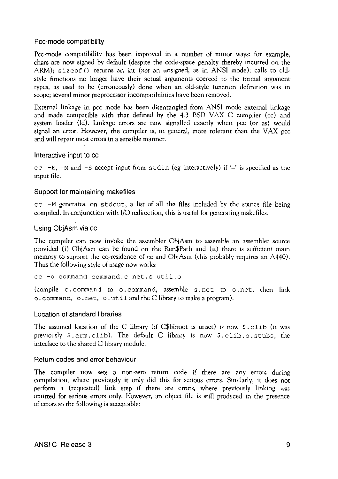#### Pee-mode compatibility

Pee-mode compatibility has been improved in a number of minor ways: for example, chars are now signed by default (despite the code-space penalty thereby incurred on the ARM); sizeof () returns an int *(not* an unsigned, as in ANSI mode); calls to oldstyle functions no longer have their actual arguments coerced to the formal argument types, as used to be (erroneously) done when an old-style function definition was in scope; several minor preprocessor incompatibilities have been removed.

External linkage in pee mode has been disentangled from ANSI mode external linkage and made compatible with that defined by the 4.3 BSD VAX C compiler (cc) and system loader (ld). Linkage errors are now signalled exactly when pcc (or as) would signal an error. However, the compiler is, in general, more tolerant than the VAX pee and will repair most errors in a sensible manner.

#### Interactive input to cc

cc  $-E$ ,  $-M$  and  $-S$  accept input from stdin (eg interactively) if  $-$  is specified as the input file.

#### Support for maintaining makefiles

 $cc$  -M generates, on stdout, a list of all the files included by the source file being compiled. In conjunction with 1/0 redirection, this is useful for generating makefiles.

#### Using ObjAsm via cc

The compiler can now invoke the assembler ObjAsm to assemble an assembler source provided (i) ObjAsm can be found on the Run\$Path and (ii) there is sufficient main memory to support the co-residence of cc and ObjAsm (this probably requires an A440). Thus the following style of usage now works:

cc -o command command.c net.s util.o

(compile c. command to o. command, assemble s. net to o. net, then link o. command, o. net, o. util and the C library to make a program).

#### Location of standard libraries

The assumed location of the C library (if C\$libroot is unset) is now \$. clib (it was previously \$.arm.clib). The default C library is now \$.clib.o.stubs, the interface to the shared C library module.

#### Return codes and error behaviour

The compiler now sets a non-zero return code if there are any errors during compilation, where previously it only did this for serious errors. Similarly, it does not perform a (requested) link step if there are errors, where previously linking was omitted for serious errors only. However, an object file is still produced in the presence of errors so the following is acceptable: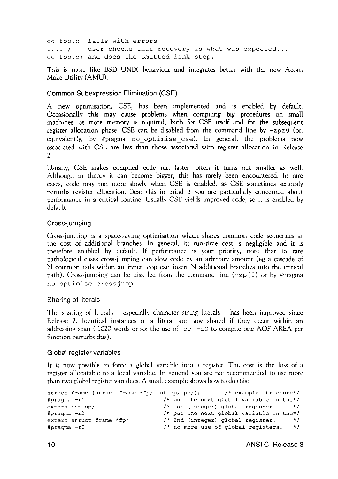cc foo.c fails with errors<br>.... ; user checks that user checks that recovery is what was expected... cc foo.o; and does the omitted link step.

This is more like BSD UNIX behaviour and integrates better with the new Acorn Make Utility (AMU).

#### Common Subexpression Elimination (CSE)

A new optimisation, CSE, has been implemented and is enabled by default. Occasionally this may cause problems when compiling big procedures on small machines, as more memory is required, both for CSE itself and for the subsequent register allocation phase. CSE can be disabled from the command line by  $-zpz0$  (or, equivalently, by #pragma no\_optimise\_cse). In general, the problems now associated with CSE are less than those associated with register allocation in Release  $\mathcal{L}$ 

Usually, CSE makes compiled code run faster; often it turns out smaller as well. Although in theory it can become bigger, this has rarely been encountered. In rare cases, code may run more slowly when CSE is enabled, as CSE sometimes seriously perturbs register allocation. Bear this in mind if you are particularly concerned about performance in a critical routine. Usually CSE yields improved code, so it is enabled by default.

#### Cross-jumping

Cross-jumping is a space-saving optimisation which shares common code sequences at the cost of additional branches. In general, its run-time cost is negligible and it is therefore enabled by default. If performance is your priority, note that in rare pathological cases cross-jumping can slow code by an arbitrary amount (eg a cascade of N common tails within an inner loop can insert N additional branches into the critical path). Cross-jumping can be disabled from the command line  $(-zp)$  or by #pragma no\_optimise\_crossjump.

#### Sharing of literals

The sharing of literals  $-$  especially character string literals  $-$  has been improved since Release 2. Identical instances of a literal are now shared if they occur within an addressing span (1020 words or so; the use of  $cc$  -zO to compile one AOF AREA per function perturbs this).

#### Global register variables

It is now possible to force a global variable into a register. The cost is the loss of a register allocatable to a local variable. In general you are not recommended to use more than two global register variables. A small example shows how to do this:

```
struct frame {struct frame *fp; 
#pragma -rl 
extern int sp; 
#pragma -r2 
extern struct frame *fp; 
#pragma -rO 
                                                         /* example structure*/
                                     /* put the next global variable in the*/<br>/* 1st (integer) global register. */
                                     /* 1st (integer) global register.
                                     /* put the next global variable in the*/ 
                                    /* 2nd (integer) global register. */ 
                                     /* no more use of global registers. */
```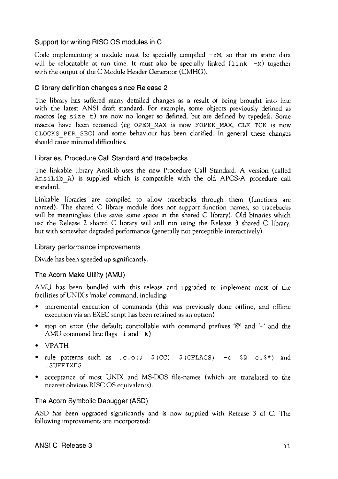#### Support for writing RISC OS modules in C

Code implementing a module must be specially compiled  $-zM$ , so that its static data will be relocatable at run time. It must also be specially linked  $(link -M)$  together with the output of the C Module Header Generator (CMHG).

#### C library definition changes since Release 2

The library has suffered many detailed changes as a result of being brought into line with the latest ANSI draft standard. For example, some objects previously defined as macros (eg size t) are now no longer so defined, but are defined by typedefs. Some macros have been renamed (eg OPEN MAX is now FOPEN MAX, CLK TCK is now CLOCKS PER SEC) and some behaviour has been clarified. In general these changes should cause minimal difficulties.

#### Libraries, Procedure Call Standard and tracebacks

The linkable library AnsiLib uses the new Procedure Call Standard. A version (called AnsiLib\_A) is supplied which is compatible with the old APCS-A procedure call standard.

Linkable libraries are compiled to allow tracebacks through them (functions are named). The shared C library module does not support function names, so tracebacks will be meaningless (this saves some space in the shared C library). Old binaries which use the Release 2 shared C library will still run using the Release 3 shared C library, but with somewhat degraded performance (generally not perceptible interactively).

#### Library performance improvements

Divide has been speeded up significantly.

## The Acorn Make Utility (AMU)

AMU has been bundled with this release and upgraded to implement most of the facilities of UNIX's 'make' command, including:

- incremental execution of commands (this was previously done offline, and offline execution via an EXEC script has been retained as an option)
- stop on error (the default; controllable with command prefixes ' $\mathcal{Q}'$  and  $\hookrightarrow$  and the AMU command line flags  $-i$  and  $-k$ )
- VPATH
- rule patterns such as  $.c.o.;$   $$ (CC)$   $$ (CELAGS)$  -o  $$ @ c.s*$  and .SUFFIXES
- acceptance of most UNIX and MS-DOS file-names (which are translated to the nearest obvious RISC OS equivalents).

#### The Acorn Symbolic Debugger (ASD)

ASD has been upgraded significantly and is now supplied with Release 3 of C. The following improvements are incorporated: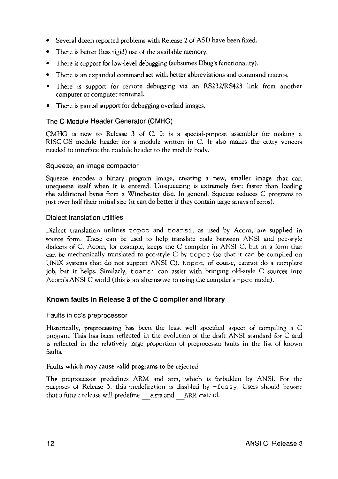- Several dozen reported problems with Release 2 of ASD have been fixed.
- There is better (less rigid) use of the available memory.
- There is support for low-level debugging (subsumes Dbug's functionality).
- There is an expanded command set with better abbreviations and command macros.
- There is support for remote debugging via an RS232/RS423 link from another computer or computer terminal.
- There is partial support for debugging overlaid images.

## The C Module Header Generator (CMHG)

CMHG is new to Release 3 of C. It is a special-purpose assembler for making a RISC OS module header for a module written in C. It also makes the entry veneers needed to interface the module header to the module body.

## Squeeze, an image compactor

Squeeze encodes a binary program image, creating a new, smaller image that can unsqueeze itself when it is entered. Unsqueezing is extremely fast: faster than loading the additional bytes from a Winchester disc. In general, Squeeze reduces C programs to just over half their initial size (it can do better if they contain large arrays of zeros).

#### Dialect translation utilities

Dialect translation utilities topee and toansi, as used by Acorn, are supplied in source form. These can be used to help translate code between ANSI and pcc-style dialects of C. Acorn, for example, keeps the C compiler in ANSI C, but in a form that can be mechanically translated to pee-style C by topee (so that it can be compiled on UNIX systems that do not support ANSI C). topee, of course, cannot do a complete job, but it helps. Similarly, toansi can assist with bringing old-style C sources into Acorn's ANSI C world (this is an alternative to using the compiler's -pee mode).

## **Known faults in Release 3 of the C compiler and library**

#### Faults in cc's preprocessor

Historically, preprocessing has been the least well specified aspect of compiling a C program. This has been reflected in the evolution of the draft ANSI standard for C and is reflected in the relatively large proportion of preprocessor faults in the list of known faults.

## Faults which may cause valid programs to be rejected

The preprocessor predefines ARM and arm, which is forbidden by ANSI. For the purposes of Release 3, this predefinition is disabled by -fussy. Users should beware that a future release will predefine arm and ARM instead.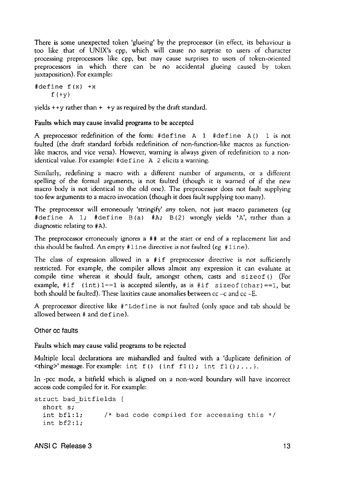There is some unexpected token 'glueing' by the preprocessor (in effect, its behaviour is too like that of UNIX's cpp, which will cause no surprise to users of character processing preprocessors like cpp, but may cause surprises to users of token-oriented preprocessors in which there can be no accidental glueing caused by token juxtaposition). For example:

 $#define f(x) +x$  $f$  (+y)

yields  $++y$  rather than  $++y$  as required by the draft standard.

#### Faults which may cause invalid programs to be accepted

A preprocessor redefinition of the form: #define A 1 #define A () 1 is not faulted (the draft standard forbids redefinition of non-function-like macros as functionlike macros, and vice versa). However, warning is always given of redefinition to a nonidentical value. For example: #define A 2 elicits a warning.

Similarly, redefining a macro with a different number of arguments, or a different spelling of the formal arguments, is not faulted (though it is warned of if the new macro body is not identical to the old one). The preprocessor does not fault supplying too few arguments to a macro invocation (though it does fault supplying too many).

The preprocessor will erroneously 'stringify' any token, not just macro parameters {eg #define A 1; #define B (a) #A; B (2) wrongly yields 'A', rather than a diagnostic relating to #A).

The preprocessor erroneously ignores a  $##$  at the start or end of a replacement list and this should be faulted. An empty  $#$  l ine directive is not faulted (eg  $#$  l ine).

The class of expression allowed in a #if preprocessor directive is not sufficiently restricted. For example, the compiler allows almost any expression it can evaluate at compile time whereas it should fault, amongst others, casts and sizeof () (For example, #if (int) 1==1 is accepted silently, as is #if size of (char) ==1, but both should be faulted). These laxities cause anomalies between  $cc - c$  and  $cc - E$ .

A preprocessor directive like #~Ldefine is not faulted (only space and tab should be allowed between# and define).

Other cc faults

#### Faults which may cause valid programs to be rejected

Multiple local declarations are mishandled and faulted with a 'duplicate definition of  $\n$  <thing>' message. For example: int f () {inf f1(); int f1();...}.

In -pee mode, a bitfield which is aligned on a non-word boundary will have incorrect access code compiled for it. For example:

```
struct bad_bitfields { 
  short s; 
  int bfl: 1; 
  int bf2:1;1* bad code compiled for accessing this *
```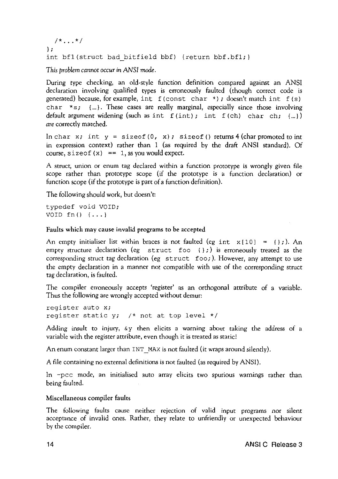```
7 * ... *7} ; 
int bfl(struct bad bitfield bbf) {return bbf.bfl;}
```
*This problem cannot occur in ANSI mode.* 

During type checking, an old-style function definition compared against an ANSI declaration involving qualified types is erroneously faulted (though correct code is generated) because, for example, int f (const char \*); doesn't match int f (s) char  $\star s$ ;  $\{\ldots\}$ . These cases are really marginal, especially since those involving default argument widening (such as int  $f(int)$ ; int  $f(ch)$  char ch;  ${...}$ ) *are* correctly matched.

In char x; int  $y =$  sizeof (0, x); sizeof () returns 4 (char promoted to int in expression context) rather than 1 (as required by the draft ANSI standard). Of course, size of  $(x) == 1$ , as you would expect.

A struct, union or enum tag declared within a function prototype is wrongly given file scope rather than prototype scope (if the prototype is a function declaration) or function scope (if the prototype is part of a function definition).

The following should work, but doesn't:

typedef void VOID; VOID  $fn() \{... \}$ 

#### Faults which may cause invalid programs to be accepted

An empty initialiser list within braces is not faulted (eg int  $x[10] = { }$  ; ). An empty structure declaration (eg struct foo  $\{\}$ ;) is erroneously treated as the corresponding struct tag declaration (eg struct foo; ). However, any attempt to use the empty declaration in a manner not compatible with use of the corresponding struct tag declaration, is faulted.

The compiler erroneously accepts 'register' as an orthogonal attribute of a variable. Thus the following are wrongly accepted without demur:

register auto x; register static y;  $\frac{1}{x}$  not at top level  $\frac{x}{x}$ 

Adding insult to injury, &y then elicits a warning about taking the address of a variable with the register attribute, even though it is treated as static!

An enum constant larger than  $INT$  MAX is not faulted (it wraps around silently).

A file containing no external definitions is not faulted (as required by ANSI).

In -pee mode, an initialised auto array elicits two spurious warnings rather than being faulted.

#### Miscellaneous compiler faults

The following faults cause neither rejection of valid input programs nor silent acceptance of invalid ones. Rather, they relate to unfriendly or unexpected behaviour by the compiler.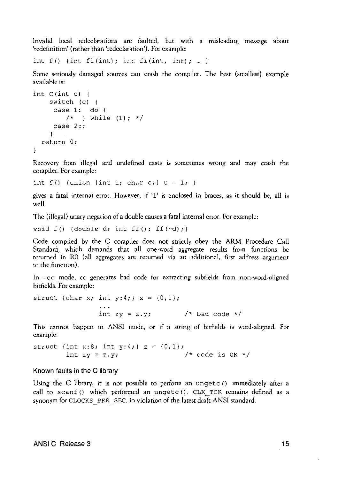Invalid local redeclarations are faulted, but with a misleading message about 'redefinition' (rather than 'redeclaration'). For example:

int  $f()$  {int  $f1(int);$  int  $f1(int, int); ...$ }

Some seriously damaged sources can crash the compiler. The best (smallest) example available is:

```
int C (int c) 
    switch (c) {
     case 1: do 
         /* } while (1); */
     case 2:; 
     \lambdareturn 0; 
\mathbf{r}
```
Recovery from illegal and undefined casts is sometimes wrong and may crash the compiler. For example:

int  $f()$  {union {int i; char c; }  $u = 1$ ; }

gives a fatal internal error. However, if '1' is enclosed in braces, as it should be, all is well.

The (illegal) unary negation of a double causes a fatal internal error. For example:

void  $f()$  {double d; int  $ff()$ ;  $ff(\neg d)$ ; }

Code compiled by the C compiler does not strictly obey the ARM Procedure Call Standard, which demands that all one-word aggregate results from functions be returned in RO (all aggregates are returned via an additional, first address argument to the function).

In -cc mode, cc generates bad code for extracting subfields from non-word-aligned bitfields. For example:

struct {char x; int y:4;}  $z = \{0, 1\}$ ; int  $zy = z.y$ ;  $\frac{y}{x}$  bad code \*/

This cannot happen in ANSI mode, or if a string of bitfields is word-aligned. For example:

struct {int x:8; int y:4;}  $z = \{0, 1\}$ ; int  $zy = z.y$ ;  $\frac{y}{z}$   $\frac{z}{y}$  /\* code is  $0K \times 1$ 

#### Known faults in the C library

Using the C library, it is not possible to perform an ungetc () immediately after a call to scanf () which performed an ungetc (). CLK TCK remains defined as a synonym for CLOCKS PER SEC, in violation of the latest draft ANSI standard.